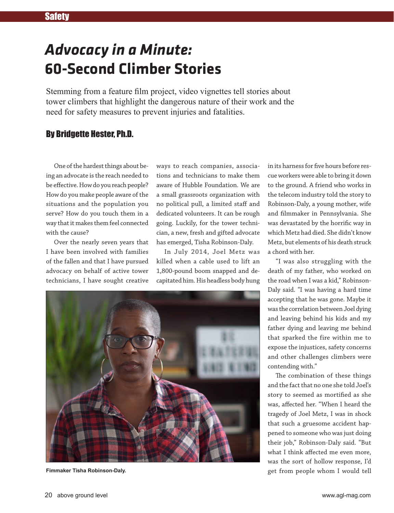## *Advocacy in a Minute:* **60-Second Climber Stories**

Stemming from a feature film project, video vignettes tell stories about tower climbers that highlight the dangerous nature of their work and the need for safety measures to prevent injuries and fatalities.

## By Bridgette Hester, Ph.D.

One of the hardest things about being an advocate is the reach needed to be effective. How do you reach people? How do you make people aware of the situations and the population you serve? How do you touch them in a way that it makes them feel connected with the cause?

Over the nearly seven years that I have been involved with families of the fallen and that I have pursued advocacy on behalf of active tower technicians, I have sought creative

ways to reach companies, associations and technicians to make them aware of Hubble Foundation. We are a small grassroots organization with no political pull, a limited staff and dedicated volunteers. It can be rough going. Luckily, for the tower technician, a new, fresh and gifted advocate has emerged, Tisha Robinson-Daly.

In July 2014, Joel Metz was killed when a cable used to lift an 1,800-pound boom snapped and decapitated him. His headless body hung



**Fimmaker Tisha Robinson-Daly.**

in its harness for five hours before rescue workers were able to bring it down to the ground. A friend who works in the telecom industry told the story to Robinson-Daly, a young mother, wife and filmmaker in Pennsylvania. She was devastated by the horrific way in which Metz had died. She didn't know Metz, but elements of his death struck a chord with her.

"I was also struggling with the death of my father, who worked on the road when I was a kid," Robinson-Daly said. "I was having a hard time accepting that he was gone. Maybe it was the correlation between Joel dying and leaving behind his kids and my father dying and leaving me behind that sparked the fire within me to expose the injustices, safety concerns and other challenges climbers were contending with."

The combination of these things and the fact that no one she told Joel's story to seemed as mortified as she was, affected her. "When I heard the tragedy of Joel Metz, I was in shock that such a gruesome accident happened to someone who was just doing their job," Robinson-Daly said. "But what I think affected me even more, was the sort of hollow response, I'd get from people whom I would tell